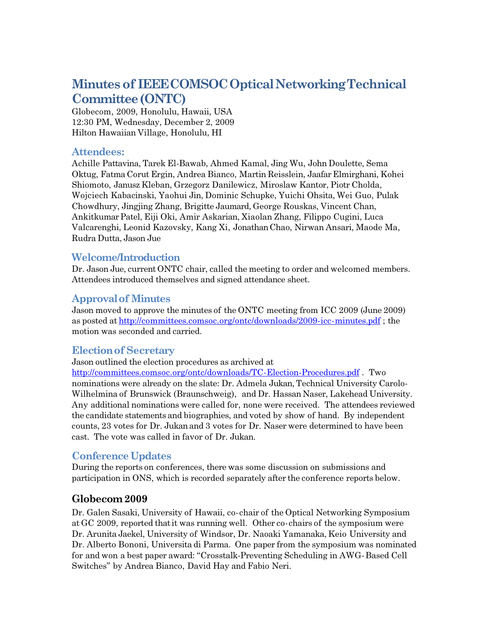# **Minutesof IEEECOMSOCOpticalNetworkingTechnical Committee(ONTC)**

Globecom, 2009, Honolulu, Hawaii, USA 12:30 PM, Wednesday, December 2, 2009 Hilton Hawaiian Village, Honolulu, HI

### **Attendees:**

Achille Pattavina, Tarek El-Bawab, Ahmed Kamal, Jing Wu, John Doulette, Sema Oktug, Fatma Corut Ergin, Andrea Bianco, Martin Reisslein, JaafarElmirghani, Kohei Shiomoto, Janusz Kleban, Grzegorz Danilewicz, Miroslaw Kantor, Piotr Cholda, Wojciech Kabacinski, Yaohui Jin, Dominic Schupke, Yuichi Ohsita, Wei Guo, Pulak Chowdhury, Jingjing Zhang, Brigitte Jaumard, George Rouskas, Vincent Chan, AnkitkumarPatel, Eiji Oki, Amir Askarian, Xiaolan Zhang, Filippo Cugini, Luca Valcarenghi, Leonid Kazovsky, Kang Xi, JonathanChao, Nirwan Ansari, Maode Ma, Rudra Dutta, Jason Jue

#### **Welcome/Introduction**

Dr. Jason Jue, currentONTC chair, called the meeting to order and welcomed members. Attendees introduced themselves and signed attendance sheet.

### **Approvalof Minutes**

Jason moved to approve the minutes of the ONTC meeting from ICC 2009 (June 2009) as posted at http://committees.comsoc.org/ontc/downloads/2009-icc-minutes.pdf; the motion was seconded and carried.

#### **Electionof Secretary**

Jason outlined the election procedures as archived at

http://committees.comsoc.org/ontc/downloads/TC-Election-Procedures.pdf . Two nominations were already on the slate: Dr. Admela Jukan, Technical University Carolo-Wilhelmina of Brunswick (Braunschweig), and Dr. Hassan Naser, Lakehead University. Any additional nominations were called for, none were received. The attendees reviewed the candidate statements and biographies, and voted by show of hand. By independent counts, 23 votes for Dr. Jukanand 3 votes for Dr. Naser were determined to have been cast. The vote was called in favor of Dr. Jukan.

### **Conference Updates**

During the reports on conferences, there was some discussion on submissions and participation in ONS, which is recorded separately after the conference reports below.

### **Globecom2009**

Dr. Galen Sasaki, University of Hawaii, co-chair of the Optical Networking Symposium at GC 2009, reported thatit was running well. Other cochairs of the symposium were Dr. Arunita Jaekel, University of Windsor, Dr. Naoaki Yamanaka, Keio University and Dr. Alberto Bononi, Universita di Parma. One paper from the symposium was nominated for and won a best paper award: "Crosstalk-Preventing Scheduling in AWG-Based Cell Switches" by Andrea Bianco, David Hay and Fabio Neri.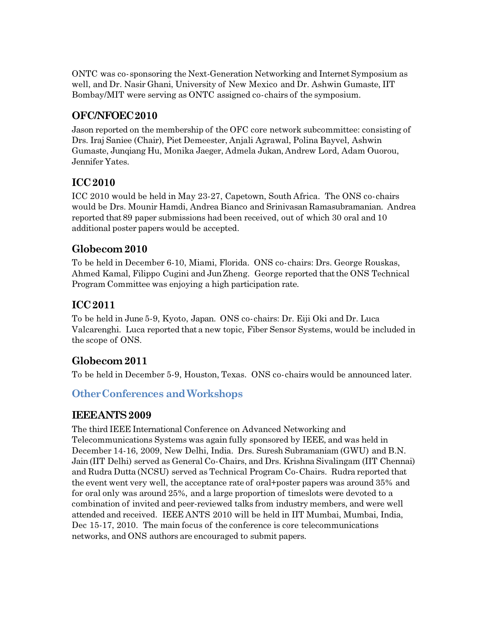ONTC was co-sponsoring the Next-Generation Networking and Internet Symposium as well, and Dr. Nasir Ghani, University of New Mexico and Dr. Ashwin Gumaste, IIT Bombay/MIT were serving as ONTC assigned co-chairs of the symposium.

# **OFC/NFOEC2010**

Jason reported on the membership of the OFC core network subcommittee: consisting of Drs. Iraj Saniee (Chair), Piet Demeester, Anjali Agrawal, Polina Bayvel, Ashwin Gumaste, Junqiang Hu, Monika Jaeger, Admela Jukan, Andrew Lord, Adam Ouorou, Jennifer Yates.

# **ICC2010**

ICC 2010 would be held in May 23-27, Capetown, South Africa. The ONS co-chairs would be Drs. Mounir Hamdi, Andrea Bianco and Srinivasan Ramasubramanian. Andrea reported that89 paper submissions had been received, out of which 30 oral and 10 additional poster papers would be accepted.

# **Globecom2010**

To be held in December 610, Miami, Florida. ONS cochairs: Drs. George Rouskas, Ahmed Kamal, Filippo Cugini and JunZheng. George reported thatthe ONS Technical Program Committee was enjoying a high participation rate.

# **ICC2011**

To be held in June 59, Kyoto, Japan. ONS cochairs: Dr. Eiji Oki and Dr. Luca Valcarenghi. Luca reported thata new topic, Fiber Sensor Systems, would be included in the scope of ONS.

# **Globecom2011**

To be held in December 5-9, Houston, Texas. ONS co-chairs would be announced later.

# **OtherConferences andWorkshops**

# **IEEEANTS2009**

The third IEEE International Conference on Advanced Networking and Telecommunications Systems was again fully sponsored by IEEE, and was held in December 14-16, 2009, New Delhi, India. Drs. Suresh Subramaniam (GWU) and B.N. Jain (IIT Delhi) served as General Co-Chairs, and Drs. Krishna Sivalingam (IIT Chennai) and Rudra Dutta (NCSU) served as Technical Program Co-Chairs. Rudra reported that the event went very well, the acceptance rate of oral+poster papers was around 35% and for oral only was around 25%, and a large proportion of timeslots were devoted to a combination of invited and peerreviewed talks from industry members, and were well attended and received. IEEE ANTS 2010 will be held in IIT Mumbai, Mumbai, India, Dec 15-17, 2010. The main focus of the conference is core telecommunications networks, and ONS authors are encouraged to submit papers.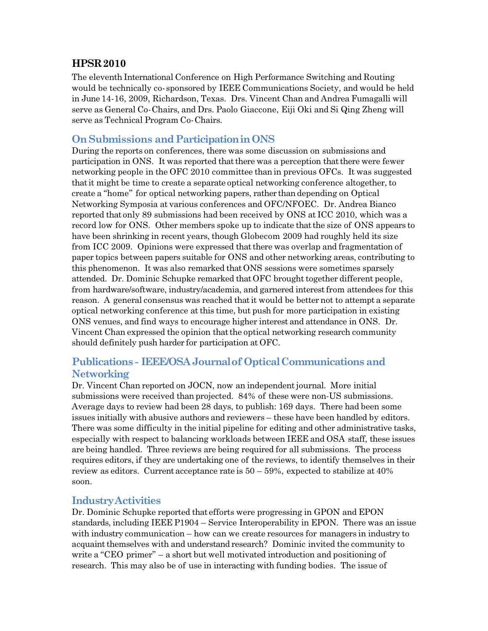# **HPSR2010**

The eleventh International Conference on High Performance Switching and Routing would be technically co-sponsored by IEEE Communications Society, and would be held in June 1416, 2009, Richardson, Texas. Drs. Vincent Chan and Andrea Fumagalli will serve as General Co-Chairs, and Drs. Paolo Giaccone, Eiji Oki and Si Qing Zheng will serve as Technical Program Co-Chairs.

### **OnSubmissions andParticipationinONS**

During the reports on conferences, there was some discussion on submissions and participation in ONS. It was reported that there was a perception that there were fewer networking people in the OFC 2010 committee thanin previous OFCs. It was suggested that it might be time to create a separate optical networking conference altogether, to create a "home" for optical networking papers, rather thandepending on Optical Networking Symposia at various conferences and OFC/NFOEC. Dr. Andrea Bianco reported that only 89 submissions had been received by ONS at ICC 2010, which was a record low for ONS. Other members spoke up to indicate that the size of ONS appears to have been shrinking in recent years, though Globecom 2009 had roughly held its size from ICC 2009. Opinions were expressed that there was overlap and fragmentation of paper topics between papers suitable for ONS and other networking areas, contributing to this phenomenon. It was also remarked thatONS sessions were sometimes sparsely attended. Dr. Dominic Schupke remarked thatOFC broughttogether different people, from hardware/software, industry/academia, and garnered interest from attendees for this reason. A general consensus was reached thatit would be better not to attempt a separate optical networking conference atthis time, but push for more participation in existing ONS venues, and find ways to encourage higher interest and attendance in ONS. Dr. Vincent Chan expressed the opinion thatthe optical networking research community should definitely push harder for participation at OFC.

### **Publications IEEE/OSAJournalof OpticalCommunications and Networking**

Dr. Vincent Chan reported on JOCN, now an independentjournal. More initial submissions were received than projected. 84% of these were non-US submissions. Average days to review had been 28 days, to publish: 169 days. There had been some issues initially with abusive authors and reviewers – these have been handled by editors. There was some difficulty in the initial pipeline for editing and other administrative tasks, especially with respect to balancing workloads between IEEE and OSA staff, these issues are being handled. Three reviews are being required for all submissions. The process requires editors, if they are undertaking one of the reviews, to identify themselves in their review as editors. Current acceptance rate is  $50 - 59\%$ , expected to stabilize at  $40\%$ soon.

#### **IndustryActivities**

Dr. Dominic Schupke reported that efforts were progressing in GPON and EPON standards, including IEEE P1904 – Service Interoperability in EPON. There was an issue with industry communication – how can we create resources for managers in industry to acquaint themselves with and understand research? Dominic invited the community to write a "CEO primer" – a short but well motivated introduction and positioning of research. This may also be of use in interacting with funding bodies. The issue of